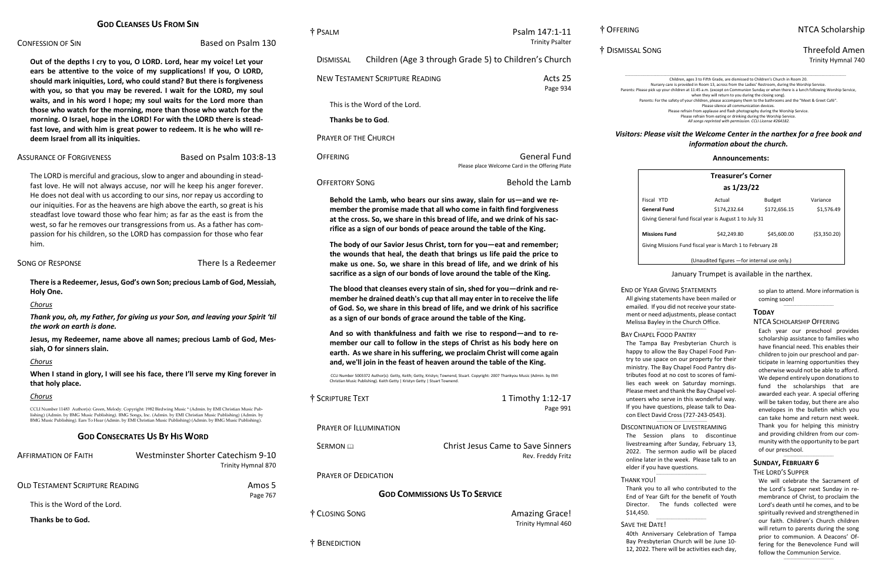\_\_\_\_\_\_\_\_\_\_\_\_\_\_\_\_\_\_\_\_\_\_\_\_\_\_\_\_\_\_\_\_\_\_\_\_\_\_\_\_\_\_\_\_\_\_\_\_\_\_\_\_\_\_\_\_\_\_\_\_\_\_\_\_\_\_\_\_\_\_\_\_\_\_\_\_\_\_\_\_\_\_\_\_\_\_\_\_\_\_\_\_\_\_\_\_\_\_\_\_\_\_\_\_\_\_\_\_\_\_\_\_\_\_\_\_\_\_\_\_\_\_\_\_\_\_\_\_\_\_\_\_\_\_\_\_\_\_\_\_\_\_\_\_\_\_\_\_\_\_\_\_\_\_ Children, ages 3 to Fifth Grade, are dismissed to Children's Church in Room 20. Nursery care is provided in Room 13, across from the Ladies' Restroom, during the Worship Service. pick up your children at 11:45 a.m. (except on Communion Sunday or when there is a lunch following Worship Service, when they will return to you during the closing song). Its: For the safety of your children, please accompany them to the bathrooms and the "Meet & Greet Café". Please silence all communication devices. Please refrain from applause and flash photography during the Worship Service. Please refrain from eating or drinking during the Worship Service. *All songs reprinted with permission. CCLI License #264182. Jease visit the Welcome Center in the narthex for a free book and* 

### † DISMISSAL SONG Threefold Amen Trinity Hymnal 740

# *information about the church.*

### **CONFESSION OF SIN Based on Psalm 130**

**Out of the depths I cry to you, O LORD. Lord, hear my voice! Let your ears be attentive to the voice of my supplications! If you, O LORD, should mark iniquities, Lord, who could stand? But there is forgiveness with you, so that you may be revered. I wait for the LORD, my soul waits, and in his word I hope; my soul waits for the Lord more than those who watch for the morning, more than those who watch for the morning. O Israel, hope in the LORD! For with the LORD there is steadfast love, and with him is great power to redeem. It is he who will redeem Israel from all its iniquities.**

### ASSURANCE OF FORGIVENESS Based on Psalm 103:8-13

The LORD is merciful and gracious, slow to anger and abounding in steadfast love. He will not always accuse, nor will he keep his anger forever. He does not deal with us according to our sins, nor repay us according to our iniquities. For as the heavens are high above the earth, so great is his steadfast love toward those who fear him; as far as the east is from the west, so far he removes our transgressions from us. As a father has compassion for his children, so the LORD has compassion for those who fear him.

SONG OF RESPONSE There Is a Redeemer

**There is a Redeemer, Jesus, God's own Son; precious Lamb of God, Messiah, Holy One.**

#### *Chorus*

*Thank you, oh, my Father, for giving us your Son, and leaving your Spirit 'til the work on earth is done.*

**Jesus, my Redeemer, name above all names; precious Lamb of God, Messiah, O for sinners slain.**

#### *Chorus*

**When I stand in glory, I will see his face, there I'll serve my King forever in that holy place.**

#### *Chorus*

so plan to attend. More information is coming soon!  $\_$ 

CCLI Number 11483 Author(s): Green, Melody. Copyright: 1982 Birdwing Music \* (Admin. by EMI Christian Music Publishing) (Admin. by BMG Music Publishing). BMG Songs, Inc. (Admin. by EMI Christian Music Publishing) (Admin. by BMG Music Publishing). Ears To Hear (Admin. by EMI Christian Music Publishing) (Admin. by BMG Music Publishing).

## **GOD CONSECRATES US BY HIS WORD**

| <b>AFFIRMATION OF FAITH</b>     | Westminster Shorter Catechism 9-10<br>Trinity Hymnal 870 |
|---------------------------------|----------------------------------------------------------|
| OLD TESTAMENT SCRIPTURE READING | Amos 5<br>Page 767                                       |
| This is the Word of the Lord.   |                                                          |
| Thanks be to God.               |                                                          |

#### **Announcements:**

| <b>Treasurer's Corner</b>                                  |              |               |               |  |  |  |
|------------------------------------------------------------|--------------|---------------|---------------|--|--|--|
| as 1/23/22                                                 |              |               |               |  |  |  |
| Fiscal YTD                                                 | Actual       | <b>Budget</b> | Variance      |  |  |  |
| General Fund                                               | \$174.232.64 | \$172,656.15  | \$1,576.49    |  |  |  |
| Giving General fund fiscal year is August 1 to July 31     |              |               |               |  |  |  |
| <b>Missions Fund</b>                                       | \$42.249.80  | \$45,600.00   | ( \$3,350.20) |  |  |  |
| Giving Missions Fund fiscal year is March 1 to February 28 |              |               |               |  |  |  |
| (Unaudited figures - for internal use only.)               |              |               |               |  |  |  |

#### January Trumpet is available in the narthex.

#### EAR GIVING STATEMENTS

| <b>T OFFERING</b>                                                    | Psalm 147:1-11<br><b>Trinity Psalter</b>                                                                                                                                                                                                                                                       |                                                                            | † PSALM                     |
|----------------------------------------------------------------------|------------------------------------------------------------------------------------------------------------------------------------------------------------------------------------------------------------------------------------------------------------------------------------------------|----------------------------------------------------------------------------|-----------------------------|
| † DISMISSAL SC                                                       | Children (Age 3 through Grade 5) to Children's Church                                                                                                                                                                                                                                          |                                                                            | <b>DISMISSAL</b>            |
| Parents: Please p                                                    | Acts 25<br>Page 934                                                                                                                                                                                                                                                                            | <b>NEW TESTAMENT SCRIPTURE READING</b>                                     |                             |
| Paren                                                                |                                                                                                                                                                                                                                                                                                | This is the Word of the Lord.                                              |                             |
|                                                                      |                                                                                                                                                                                                                                                                                                |                                                                            | Thanks be to God.           |
| <b>Visitors: Pl</b>                                                  |                                                                                                                                                                                                                                                                                                |                                                                            | <b>PRAYER OF THE CHURCH</b> |
|                                                                      | <b>General Fund</b><br>Please place Welcome Card in the Offering Plate                                                                                                                                                                                                                         |                                                                            | <b>OFFERING</b>             |
|                                                                      | <b>Behold the Lamb</b>                                                                                                                                                                                                                                                                         |                                                                            | <b>OFFERTORY SONG</b>       |
| Fisc<br>Ger<br>Giv<br>Mis                                            | Behold the Lamb, who bears our sins away, slain for us—and we re-<br>member the promise made that all who come in faith find forgiveness<br>at the cross. So, we share in this bread of life, and we drink of his sac-<br>rifice as a sign of our bonds of peace around the table of the King. |                                                                            |                             |
| Giv                                                                  | The body of our Savior Jesus Christ, torn for you-eat and remember;<br>the wounds that heal, the death that brings us life paid the price to<br>make us one. So, we share in this bread of life, and we drink of his<br>sacrifice as a sign of our bonds of love around the table of the King. |                                                                            |                             |
| <b>END OF YE</b><br>All giving<br>emailed.<br>ment or r<br>Melissa B | The blood that cleanses every stain of sin, shed for you-drink and re-<br>member he drained death's cup that all may enter in to receive the life<br>of God. So, we share in this bread of life, and we drink of his sacrifice                                                                 | as a sign of our bonds of grace around the table of the King.              |                             |
| <b>BAY CHAPI</b><br>The Tam<br>happy to<br>try to use                | And so with thankfulness and faith we rise to respond-and to re-<br>member our call to follow in the steps of Christ as his body here on<br>earth. As we share in his suffering, we proclaim Christ will come again<br>and, we'll join in the feast of heaven around the table of the King.    |                                                                            |                             |
| ministry.<br>tributes f<br>lies each                                 | CCLI Number 5003372 Author(s): Getty, Keith; Getty, Kristyn; Townend, Stuart. Copyright: 2007 Thankyou Music (Admin. by EMI                                                                                                                                                                    | Christian Music Publishing). Keith Getty   Kristyn Getty   Stuart Townend. |                             |
| Please m<br>unteers v<br>If you hay<br>con Elect                     | 1 Timothy 1:12-17<br>Page 991                                                                                                                                                                                                                                                                  |                                                                            | † SCRIPTURE TEXT            |
| <b>DISCONTIN</b><br>The Se                                           |                                                                                                                                                                                                                                                                                                |                                                                            | PRAYER OF ILLUMINATION      |
| livestrear<br>2022. TI<br>online lat<br>elder if yo                  | <b>Christ Jesus Came to Save Sinners</b><br>Rev. Freddy Fritz                                                                                                                                                                                                                                  |                                                                            | <b>SERMON E</b>             |
| <b>THANK YO</b>                                                      |                                                                                                                                                                                                                                                                                                |                                                                            | <b>PRAYER OF DEDICATION</b> |
| Thank yo<br>End of Y<br>Director.                                    |                                                                                                                                                                                                                                                                                                | <b>GOD COMMISSIONS US TO SERVICE</b>                                       |                             |
| \$14,450.<br>SAVE THE                                                | <b>Amazing Grace!</b><br>Trinity Hymnal 460                                                                                                                                                                                                                                                    |                                                                            | † CLOSING SONG              |
| 40th Ani<br>Bay Pres<br>12.2022                                      |                                                                                                                                                                                                                                                                                                |                                                                            | † BENEDICTION               |

## NTCA Scholarship

#### **TODAY**

#### NTCA SCHOLARSHIP OFFERING

Each year our preschool provides scholarship assistance to families who have financial need. This enables their children to join our preschool and participate in learning opportunities they otherwise would not be able to afford. We depend entirely upon donations to fund the scholarships that are awarded each year. A special offering will be taken today, but there are also envelopes in the bulletin which you can take home and return next week. Thank you for helping this ministry and providing children from our community with the opportunity to be part of our preschool.

#### **SUNDAY, FEBRUARY 6**

#### THE LORD'S SUPPER

We will celebrate the Sacrament of the Lord's Supper next Sunday in remembrance of Christ, to proclaim the Lord's death until he comes, and to be spiritually revived and strengthened in our faith. Children's Church children will return to parents during the song prior to communion. A Deacons' Offering for the Benevolence Fund will follow the Communion Service.

 $\_$ 

 $\_$ 

\_\_\_\_\_\_\_\_\_\_\_\_\_\_\_\_\_\_\_\_\_\_\_\_\_\_\_\_\_\_\_\_\_\_\_

statements have been mailed or If you did not receive your stateneed adjustments, please contact Bayley in the Church Office.

#### **EL FOOD PANTRY**

npa Bay Presbyterian Church is allow the Bay Chapel Food Pane space on our property for their The Bay Chapel Food Pantry disfood at no cost to scores of famih week on Saturday mornings. eet and thank the Bay Chapel volwho serve in this wonderful way. Ive questions, please talk to Deat David Cross (727-243-0543).  $\_$ 

#### NUATION OF LIVESTREAMING

 $\_$ 

 $\_$ 

ession plans to discontinue ming after Sunday, February 13, The sermon audio will be placed iter in the week. Please talk to an you have questions.

#### JU!

ou to all who contributed to the 'ear Gift for the benefit of Youth The funds collected were

#### DATE!

40th Anniversary Celebration of Tampa sbyterian Church will be June 10-12, 2022. There will be activities each day,